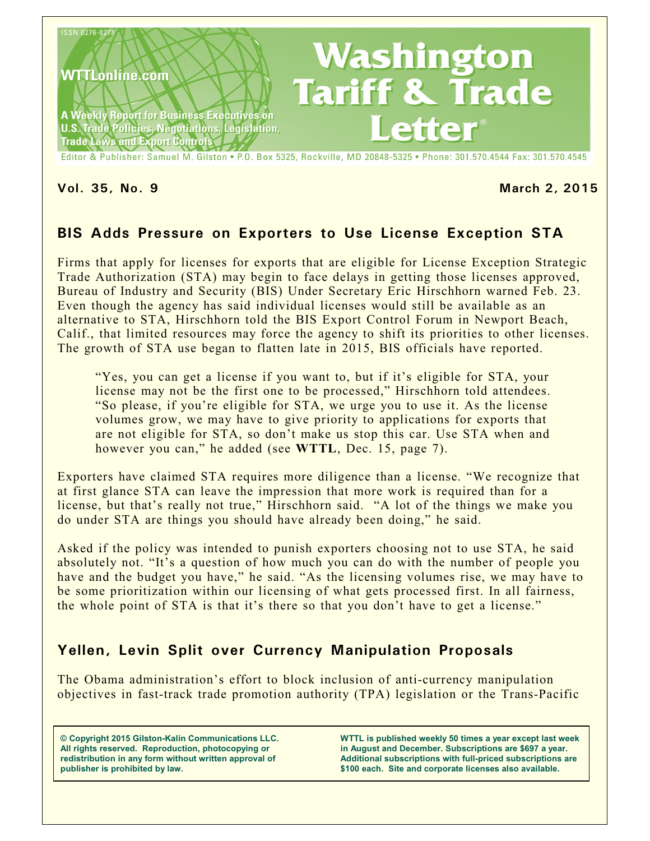

**Vol. 35, No. 9 March 2, 2015**

# **BIS Adds Pressure on Exporters to Use License Exception STA**

Firms that apply for licenses for exports that are eligible for License Exception Strategic Trade Authorization (STA) may begin to face delays in getting those licenses approved, Bureau of Industry and Security (BIS) Under Secretary Eric Hirschhorn warned Feb. 23. Even though the agency has said individual licenses would still be available as an alternative to STA, Hirschhorn told the BIS Export Control Forum in Newport Beach, Calif., that limited resources may force the agency to shift its priorities to other licenses. The growth of STA use began to flatten late in 2015, BIS officials have reported.

"Yes, you can get a license if you want to, but if it's eligible for STA, your license may not be the first one to be processed," Hirschhorn told attendees. "So please, if you're eligible for STA, we urge you to use it. As the license volumes grow, we may have to give priority to applications for exports that are not eligible for STA, so don't make us stop this car. Use STA when and however you can," he added (see **WTTL**, Dec. 15, page 7).

Exporters have claimed STA requires more diligence than a license. "We recognize that at first glance STA can leave the impression that more work is required than for a license, but that's really not true," Hirschhorn said. "A lot of the things we make you do under STA are things you should have already been doing," he said.

Asked if the policy was intended to punish exporters choosing not to use STA, he said absolutely not. "It's a question of how much you can do with the number of people you have and the budget you have," he said. "As the licensing volumes rise, we may have to be some prioritization within our licensing of what gets processed first. In all fairness, the whole point of STA is that it's there so that you don't have to get a license."

# **Yellen, Levin Split over Currency Manipulation Proposals**

The Obama administration's effort to block inclusion of anti-currency manipulation objectives in fast-track trade promotion authority (TPA) legislation or the Trans-Pacific

**© Copyright 2015 Gilston-Kalin Communications LLC. All rights reserved. Reproduction, photocopying or redistribution in any form without written approval of publisher is prohibited by law.** 

**WTTL is published weekly 50 times a year except last week in August and December. Subscriptions are \$697 a year. Additional subscriptions with full-priced subscriptions are \$100 each. Site and corporate licenses also available.**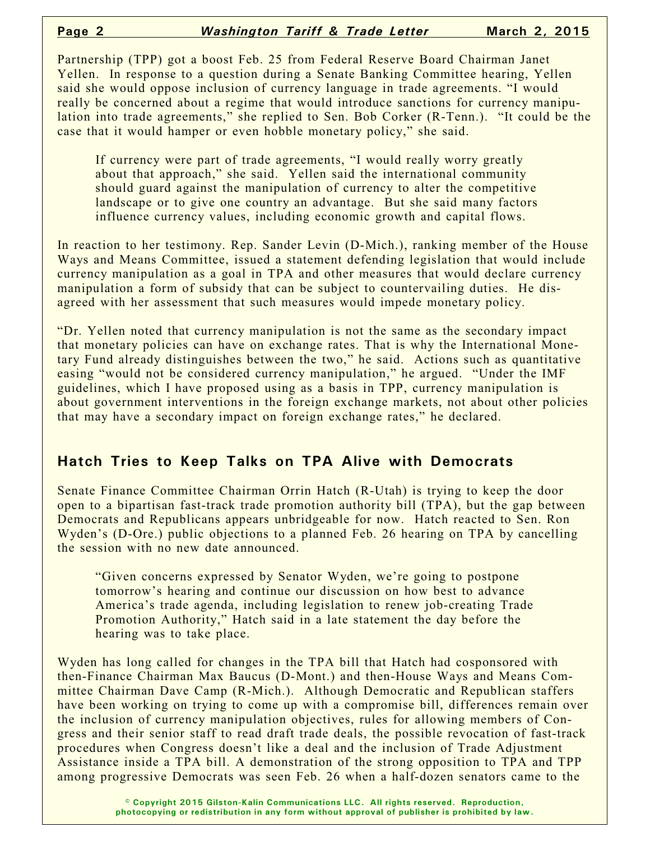Partnership (TPP) got a boost Feb. 25 from Federal Reserve Board Chairman Janet Yellen. In response to a question during a Senate Banking Committee hearing, Yellen said she would oppose inclusion of currency language in trade agreements. "I would really be concerned about a regime that would introduce sanctions for currency manipulation into trade agreements," she replied to Sen. Bob Corker (R-Tenn.). "It could be the case that it would hamper or even hobble monetary policy," she said.

If currency were part of trade agreements, "I would really worry greatly about that approach," she said. Yellen said the international community should guard against the manipulation of currency to alter the competitive landscape or to give one country an advantage. But she said many factors influence currency values, including economic growth and capital flows.

In reaction to her testimony. Rep. Sander Levin (D-Mich.), ranking member of the House Ways and Means Committee, issued a statement defending legislation that would include currency manipulation as a goal in TPA and other measures that would declare currency manipulation a form of subsidy that can be subject to countervailing duties. He disagreed with her assessment that such measures would impede monetary policy.

"Dr. Yellen noted that currency manipulation is not the same as the secondary impact that monetary policies can have on exchange rates. That is why the International Monetary Fund already distinguishes between the two," he said. Actions such as quantitative easing "would not be considered currency manipulation," he argued. "Under the IMF guidelines, which I have proposed using as a basis in TPP, currency manipulation is about government interventions in the foreign exchange markets, not about other policies that may have a secondary impact on foreign exchange rates," he declared.

#### **Hatch Tries to Keep Talks on TPA Alive with Democrats**

Senate Finance Committee Chairman Orrin Hatch (R-Utah) is trying to keep the door open to a bipartisan fast-track trade promotion authority bill (TPA), but the gap between Democrats and Republicans appears unbridgeable for now. Hatch reacted to Sen. Ron Wyden's (D-Ore.) public objections to a planned Feb. 26 hearing on TPA by cancelling the session with no new date announced.

"Given concerns expressed by Senator Wyden, we're going to postpone tomorrow's hearing and continue our discussion on how best to advance America's trade agenda, including legislation to renew job-creating Trade Promotion Authority," Hatch said in a late statement the day before the hearing was to take place.

Wyden has long called for changes in the TPA bill that Hatch had cosponsored with then-Finance Chairman Max Baucus (D-Mont.) and then-House Ways and Means Committee Chairman Dave Camp (R-Mich.). Although Democratic and Republican staffers have been working on trying to come up with a compromise bill, differences remain over the inclusion of currency manipulation objectives, rules for allowing members of Congress and their senior staff to read draft trade deals, the possible revocation of fast-track procedures when Congress doesn't like a deal and the inclusion of Trade Adjustment Assistance inside a TPA bill. A demonstration of the strong opposition to TPA and TPP among progressive Democrats was seen Feb. 26 when a half-dozen senators came to the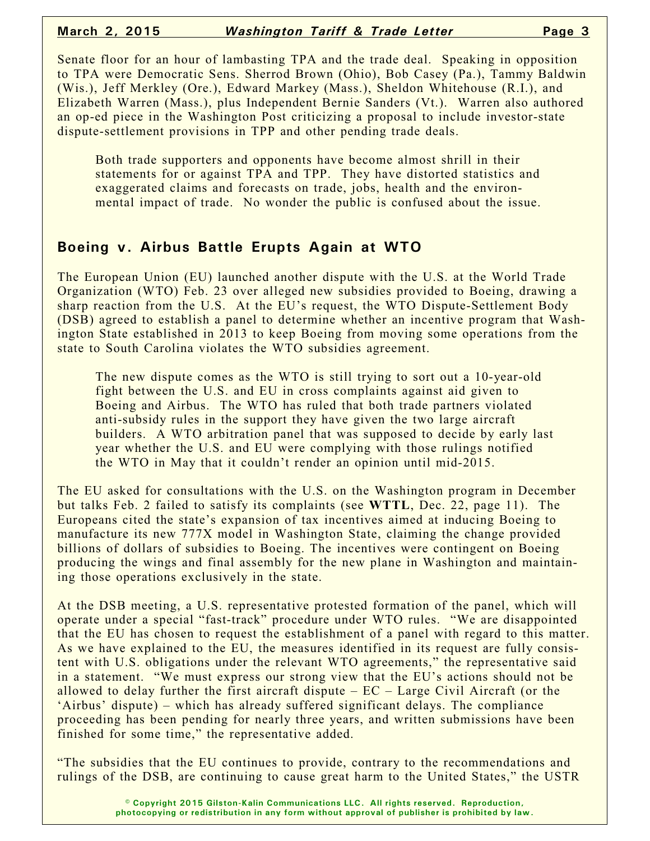Senate floor for an hour of lambasting TPA and the trade deal. Speaking in opposition to TPA were Democratic Sens. Sherrod Brown (Ohio), Bob Casey (Pa.), Tammy Baldwin (Wis.), Jeff Merkley (Ore.), Edward Markey (Mass.), Sheldon Whitehouse (R.I.), and Elizabeth Warren (Mass.), plus Independent Bernie Sanders (Vt.). Warren also authored an op-ed piece in the Washington Post criticizing a proposal to include investor-state dispute-settlement provisions in TPP and other pending trade deals.

Both trade supporters and opponents have become almost shrill in their statements for or against TPA and TPP. They have distorted statistics and exaggerated claims and forecasts on trade, jobs, health and the environmental impact of trade. No wonder the public is confused about the issue.

#### **Boeing v. Airbus Battle Erupts Again at WTO**

The European Union (EU) launched another dispute with the U.S. at the World Trade Organization (WTO) Feb. 23 over alleged new subsidies provided to Boeing, drawing a sharp reaction from the U.S. At the EU's request, the WTO Dispute-Settlement Body (DSB) agreed to establish a panel to determine whether an incentive program that Washington State established in 2013 to keep Boeing from moving some operations from the state to South Carolina violates the WTO subsidies agreement.

The new dispute comes as the WTO is still trying to sort out a 10-year-old fight between the U.S. and EU in cross complaints against aid given to Boeing and Airbus. The WTO has ruled that both trade partners violated anti-subsidy rules in the support they have given the two large aircraft builders. A WTO arbitration panel that was supposed to decide by early last year whether the U.S. and EU were complying with those rulings notified the WTO in May that it couldn't render an opinion until mid-2015.

The EU asked for consultations with the U.S. on the Washington program in December but talks Feb. 2 failed to satisfy its complaints (see **WTTL**, Dec. 22, page 11). The Europeans cited the state's expansion of tax incentives aimed at inducing Boeing to manufacture its new 777X model in Washington State, claiming the change provided billions of dollars of subsidies to Boeing. The incentives were contingent on Boeing producing the wings and final assembly for the new plane in Washington and maintaining those operations exclusively in the state.

At the DSB meeting, a U.S. representative protested formation of the panel, which will operate under a special "fast-track" procedure under WTO rules. "We are disappointed that the EU has chosen to request the establishment of a panel with regard to this matter. As we have explained to the EU, the measures identified in its request are fully consistent with U.S. obligations under the relevant WTO agreements," the representative said in a statement. "We must express our strong view that the EU's actions should not be allowed to delay further the first aircraft dispute  $-EC - Large Civil$  Aircraft (or the 'Airbus' dispute) – which has already suffered significant delays. The compliance proceeding has been pending for nearly three years, and written submissions have been finished for some time," the representative added.

"The subsidies that the EU continues to provide, contrary to the recommendations and rulings of the DSB, are continuing to cause great harm to the United States," the USTR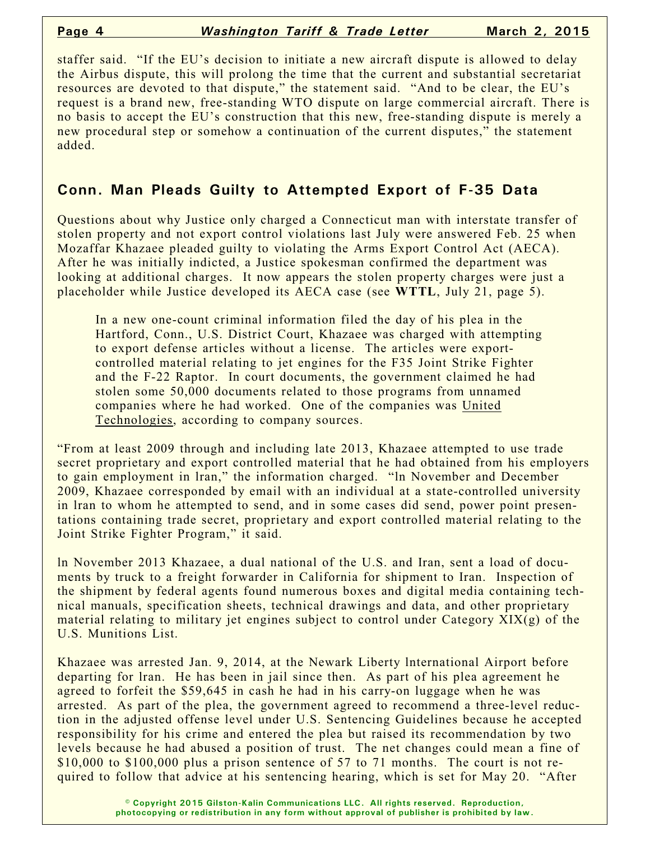staffer said. "If the EU's decision to initiate a new aircraft dispute is allowed to delay the Airbus dispute, this will prolong the time that the current and substantial secretariat resources are devoted to that dispute," the statement said. "And to be clear, the EU's request is a brand new, free-standing WTO dispute on large commercial aircraft. There is no basis to accept the EU's construction that this new, free-standing dispute is merely a new procedural step or somehow a continuation of the current disputes," the statement added.

#### **Conn. Man Pleads Guilty to Attempted Export of F-35 Data**

Questions about why Justice only charged a Connecticut man with interstate transfer of stolen property and not export control violations last July were answered Feb. 25 when Mozaffar Khazaee pleaded guilty to violating the Arms Export Control Act (AECA). After he was initially indicted, a Justice spokesman confirmed the department was looking at additional charges. It now appears the stolen property charges were just a placeholder while Justice developed its AECA case (see **WTTL**, July 21, page 5).

In a new one-count criminal information filed the day of his plea in the Hartford, Conn., U.S. District Court, Khazaee was charged with attempting to export defense articles without a license. The articles were exportcontrolled material relating to jet engines for the F35 Joint Strike Fighter and the F-22 Raptor. In court documents, the government claimed he had stolen some 50,000 documents related to those programs from unnamed companies where he had worked. One of the companies was United Technologies, according to company sources.

"From at least 2009 through and including late 2013, Khazaee attempted to use trade secret proprietary and export controlled material that he had obtained from his employers to gain employment in lran," the information charged. "ln November and December 2009, Khazaee corresponded by email with an individual at a state-controlled university in lran to whom he attempted to send, and in some cases did send, power point presentations containing trade secret, proprietary and export controlled material relating to the Joint Strike Fighter Program," it said.

ln November 2013 Khazaee, a dual national of the U.S. and Iran, sent a load of documents by truck to a freight forwarder in California for shipment to Iran. Inspection of the shipment by federal agents found numerous boxes and digital media containing technical manuals, specification sheets, technical drawings and data, and other proprietary material relating to military jet engines subject to control under Category XIX(g) of the U.S. Munitions List.

Khazaee was arrested Jan. 9, 2014, at the Newark Liberty lnternational Airport before departing for lran. He has been in jail since then. As part of his plea agreement he agreed to forfeit the \$59,645 in cash he had in his carry-on luggage when he was arrested. As part of the plea, the government agreed to recommend a three-level reduction in the adjusted offense level under U.S. Sentencing Guidelines because he accepted responsibility for his crime and entered the plea but raised its recommendation by two levels because he had abused a position of trust. The net changes could mean a fine of \$10,000 to \$100,000 plus a prison sentence of 57 to 71 months. The court is not required to follow that advice at his sentencing hearing, which is set for May 20. "After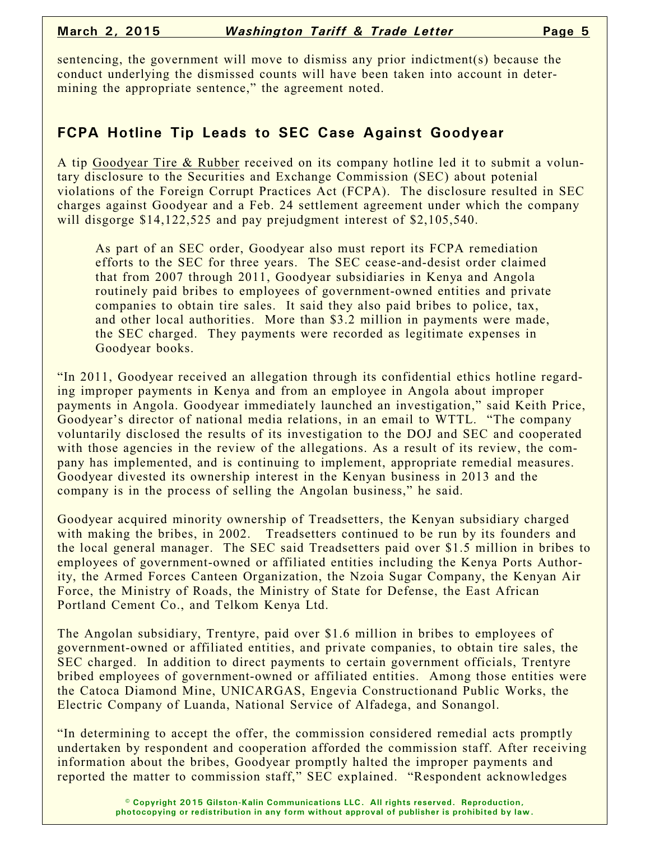sentencing, the government will move to dismiss any prior indictment(s) because the conduct underlying the dismissed counts will have been taken into account in determining the appropriate sentence," the agreement noted.

## **FCPA Hotline Tip Leads to SEC Case Against Goodyear**

A tip Goodyear Tire & Rubber received on its company hotline led it to submit a voluntary disclosure to the Securities and Exchange Commission (SEC) about potenial violations of the Foreign Corrupt Practices Act (FCPA). The disclosure resulted in SEC charges against Goodyear and a Feb. 24 settlement agreement under which the company will disgorge \$14,122,525 and pay prejudgment interest of \$2,105,540.

As part of an SEC order, Goodyear also must report its FCPA remediation efforts to the SEC for three years. The SEC cease-and-desist order claimed that from 2007 through 2011, Goodyear subsidiaries in Kenya and Angola routinely paid bribes to employees of government-owned entities and private companies to obtain tire sales. It said they also paid bribes to police, tax, and other local authorities. More than \$3.2 million in payments were made, the SEC charged. They payments were recorded as legitimate expenses in Goodyear books.

"In 2011, Goodyear received an allegation through its confidential ethics hotline regarding improper payments in Kenya and from an employee in Angola about improper payments in Angola. Goodyear immediately launched an investigation," said Keith Price, Goodyear's director of national media relations, in an email to WTTL. "The company voluntarily disclosed the results of its investigation to the DOJ and SEC and cooperated with those agencies in the review of the allegations. As a result of its review, the company has implemented, and is continuing to implement, appropriate remedial measures. Goodyear divested its ownership interest in the Kenyan business in 2013 and the company is in the process of selling the Angolan business," he said.

Goodyear acquired minority ownership of Treadsetters, the Kenyan subsidiary charged with making the bribes, in 2002. Treadsetters continued to be run by its founders and the local general manager. The SEC said Treadsetters paid over \$1.5 million in bribes to employees of government-owned or affiliated entities including the Kenya Ports Authority, the Armed Forces Canteen Organization, the Nzoia Sugar Company, the Kenyan Air Force, the Ministry of Roads, the Ministry of State for Defense, the East African Portland Cement Co., and Telkom Kenya Ltd.

The Angolan subsidiary, Trentyre, paid over \$1.6 million in bribes to employees of government-owned or affiliated entities, and private companies, to obtain tire sales, the SEC charged. In addition to direct payments to certain government officials, Trentyre bribed employees of government-owned or affiliated entities. Among those entities were the Catoca Diamond Mine, UNICARGAS, Engevia Constructionand Public Works, the Electric Company of Luanda, National Service of Alfadega, and Sonangol.

"In determining to accept the offer, the commission considered remedial acts promptly undertaken by respondent and cooperation afforded the commission staff. After receiving information about the bribes, Goodyear promptly halted the improper payments and reported the matter to commission staff," SEC explained. "Respondent acknowledges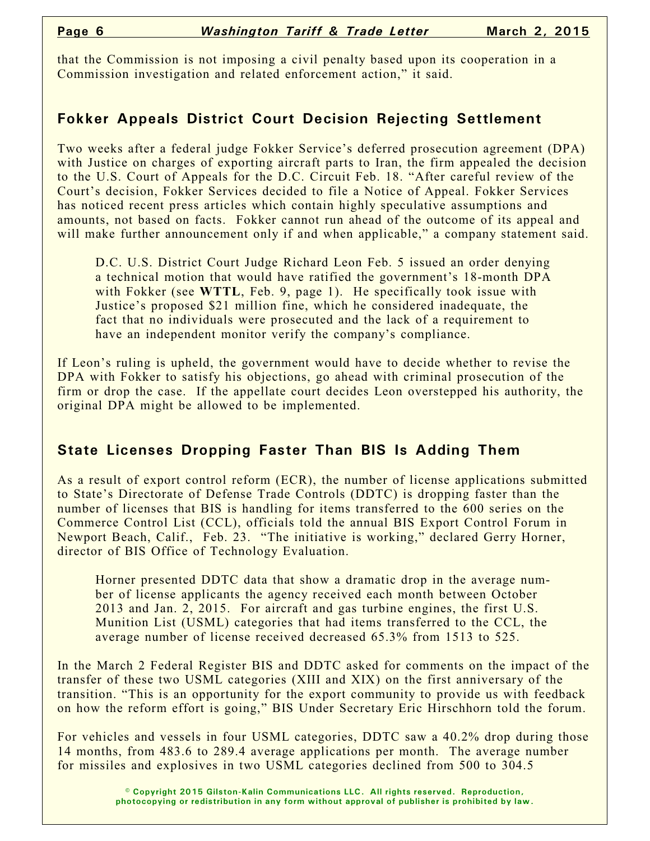that the Commission is not imposing a civil penalty based upon its cooperation in a Commission investigation and related enforcement action," it said.

### **Fokker Appeals District Court Decision Rejecting Settlement**

Two weeks after a federal judge Fokker Service's deferred prosecution agreement (DPA) with Justice on charges of exporting aircraft parts to Iran, the firm appealed the decision to the U.S. Court of Appeals for the D.C. Circuit Feb. 18. "After careful review of the Court's decision, Fokker Services decided to file a Notice of Appeal. Fokker Services has noticed recent press articles which contain highly speculative assumptions and amounts, not based on facts. Fokker cannot run ahead of the outcome of its appeal and will make further announcement only if and when applicable," a company statement said.

D.C. U.S. District Court Judge Richard Leon Feb. 5 issued an order denying a technical motion that would have ratified the government's 18-month DPA with Fokker (see **WTTL**, Feb. 9, page 1). He specifically took issue with Justice's proposed \$21 million fine, which he considered inadequate, the fact that no individuals were prosecuted and the lack of a requirement to have an independent monitor verify the company's compliance.

If Leon's ruling is upheld, the government would have to decide whether to revise the DPA with Fokker to satisfy his objections, go ahead with criminal prosecution of the firm or drop the case. If the appellate court decides Leon overstepped his authority, the original DPA might be allowed to be implemented.

## **State Licenses Dropping Faster Than BIS Is Adding Them**

As a result of export control reform (ECR), the number of license applications submitted to State's Directorate of Defense Trade Controls (DDTC) is dropping faster than the number of licenses that BIS is handling for items transferred to the 600 series on the Commerce Control List (CCL), officials told the annual BIS Export Control Forum in Newport Beach, Calif., Feb. 23. "The initiative is working," declared Gerry Horner, director of BIS Office of Technology Evaluation.

Horner presented DDTC data that show a dramatic drop in the average number of license applicants the agency received each month between October 2013 and Jan. 2, 2015. For aircraft and gas turbine engines, the first U.S. Munition List (USML) categories that had items transferred to the CCL, the average number of license received decreased 65.3% from 1513 to 525.

In the March 2 Federal Register BIS and DDTC asked for comments on the impact of the transfer of these two USML categories (XIII and XIX) on the first anniversary of the transition. "This is an opportunity for the export community to provide us with feedback on how the reform effort is going," BIS Under Secretary Eric Hirschhorn told the forum.

For vehicles and vessels in four USML categories, DDTC saw a 40.2% drop during those 14 months, from 483.6 to 289.4 average applications per month. The average number for missiles and explosives in two USML categories declined from 500 to 304.5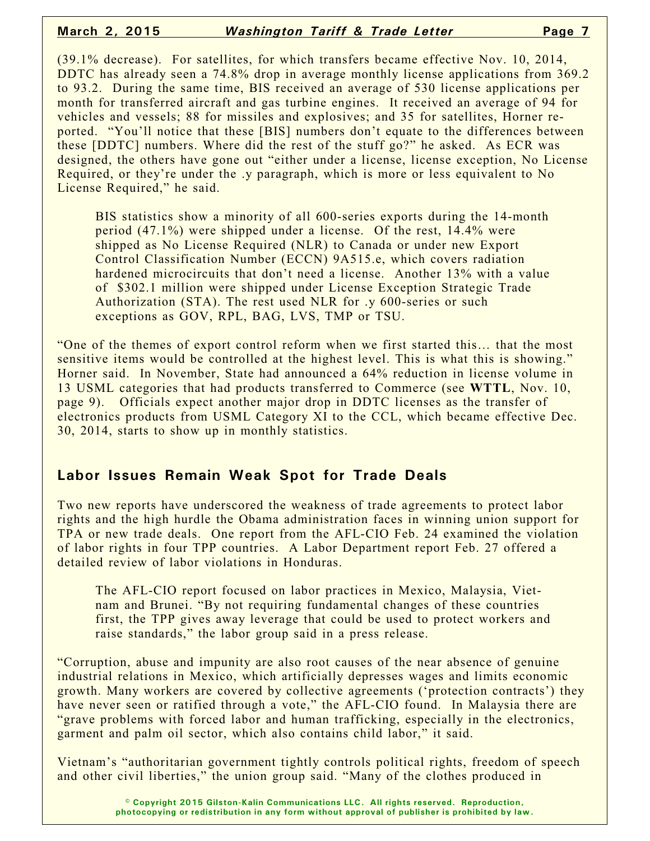(39.1% decrease). For satellites, for which transfers became effective Nov. 10, 2014, DDTC has already seen a 74.8% drop in average monthly license applications from 369.2 to 93.2. During the same time, BIS received an average of 530 license applications per month for transferred aircraft and gas turbine engines. It received an average of 94 for vehicles and vessels; 88 for missiles and explosives; and 35 for satellites, Horner reported. "You'll notice that these [BIS] numbers don't equate to the differences between these [DDTC] numbers. Where did the rest of the stuff go?" he asked. As ECR was designed, the others have gone out "either under a license, license exception, No License Required, or they're under the .y paragraph, which is more or less equivalent to No License Required," he said.

BIS statistics show a minority of all 600-series exports during the 14-month period (47.1%) were shipped under a license. Of the rest, 14.4% were shipped as No License Required (NLR) to Canada or under new Export Control Classification Number (ECCN) 9A515.e, which covers radiation hardened microcircuits that don't need a license. Another 13% with a value of \$302.1 million were shipped under License Exception Strategic Trade Authorization (STA). The rest used NLR for .y 600-series or such exceptions as GOV, RPL, BAG, LVS, TMP or TSU.

"One of the themes of export control reform when we first started this… that the most sensitive items would be controlled at the highest level. This is what this is showing." Horner said. In November, State had announced a 64% reduction in license volume in 13 USML categories that had products transferred to Commerce (see **WTTL**, Nov. 10, page 9). Officials expect another major drop in DDTC licenses as the transfer of electronics products from USML Category XI to the CCL, which became effective Dec. 30, 2014, starts to show up in monthly statistics.

#### **Labor Issues Remain Weak Spot for Trade Deals**

Two new reports have underscored the weakness of trade agreements to protect labor rights and the high hurdle the Obama administration faces in winning union support for TPA or new trade deals. One report from the AFL-CIO Feb. 24 examined the violation of labor rights in four TPP countries. A Labor Department report Feb. 27 offered a detailed review of labor violations in Honduras.

The AFL-CIO report focused on labor practices in Mexico, Malaysia, Vietnam and Brunei. "By not requiring fundamental changes of these countries first, the TPP gives away leverage that could be used to protect workers and raise standards," the labor group said in a press release.

"Corruption, abuse and impunity are also root causes of the near absence of genuine industrial relations in Mexico, which artificially depresses wages and limits economic growth. Many workers are covered by collective agreements ('protection contracts') they have never seen or ratified through a vote," the AFL-CIO found. In Malaysia there are "grave problems with forced labor and human trafficking, especially in the electronics, garment and palm oil sector, which also contains child labor," it said.

Vietnam's "authoritarian government tightly controls political rights, freedom of speech and other civil liberties," the union group said. "Many of the clothes produced in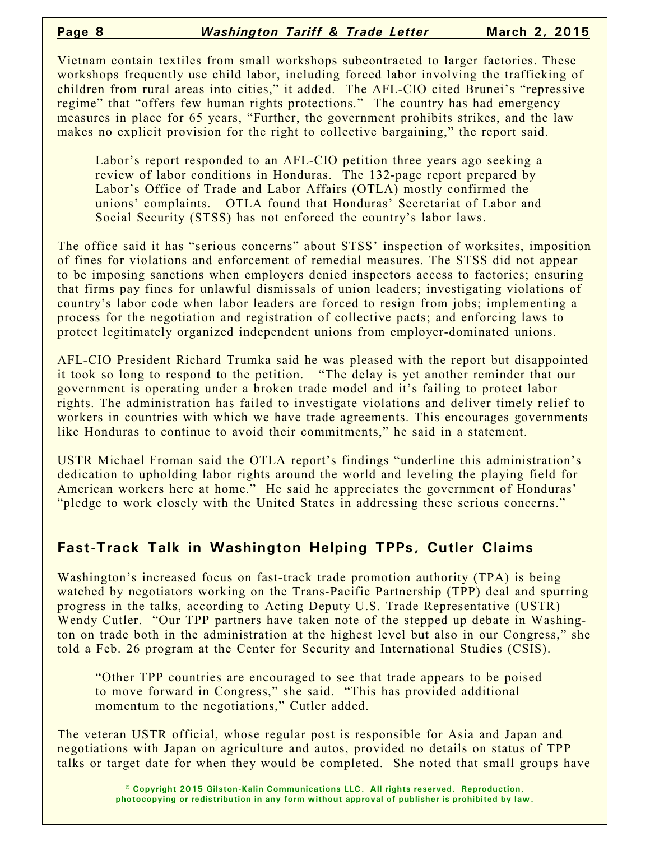Vietnam contain textiles from small workshops subcontracted to larger factories. These workshops frequently use child labor, including forced labor involving the trafficking of children from rural areas into cities," it added. The AFL-CIO cited Brunei's "repressive regime" that "offers few human rights protections." The country has had emergency measures in place for 65 years, "Further, the government prohibits strikes, and the law makes no explicit provision for the right to collective bargaining," the report said.

Labor's report responded to an AFL-CIO petition three years ago seeking a review of labor conditions in Honduras. The 132-page report prepared by Labor's Office of Trade and Labor Affairs (OTLA) mostly confirmed the unions' complaints. OTLA found that Honduras' Secretariat of Labor and Social Security (STSS) has not enforced the country's labor laws.

The office said it has "serious concerns" about STSS' inspection of worksites, imposition of fines for violations and enforcement of remedial measures. The STSS did not appear to be imposing sanctions when employers denied inspectors access to factories; ensuring that firms pay fines for unlawful dismissals of union leaders; investigating violations of country's labor code when labor leaders are forced to resign from jobs; implementing a process for the negotiation and registration of collective pacts; and enforcing laws to protect legitimately organized independent unions from employer-dominated unions.

AFL-CIO President Richard Trumka said he was pleased with the report but disappointed it took so long to respond to the petition. "The delay is yet another reminder that our government is operating under a broken trade model and it's failing to protect labor rights. The administration has failed to investigate violations and deliver timely relief to workers in countries with which we have trade agreements. This encourages governments like Honduras to continue to avoid their commitments," he said in a statement.

USTR Michael Froman said the OTLA report's findings "underline this administration's dedication to upholding labor rights around the world and leveling the playing field for American workers here at home." He said he appreciates the government of Honduras' "pledge to work closely with the United States in addressing these serious concerns."

## **Fast-Track Talk in Washington Helping TPPs, Cutler Claims**

Washington's increased focus on fast-track trade promotion authority (TPA) is being watched by negotiators working on the Trans-Pacific Partnership (TPP) deal and spurring progress in the talks, according to Acting Deputy U.S. Trade Representative (USTR) Wendy Cutler. "Our TPP partners have taken note of the stepped up debate in Washington on trade both in the administration at the highest level but also in our Congress," she told a Feb. 26 program at the Center for Security and International Studies (CSIS).

"Other TPP countries are encouraged to see that trade appears to be poised to move forward in Congress," she said. "This has provided additional momentum to the negotiations," Cutler added.

The veteran USTR official, whose regular post is responsible for Asia and Japan and negotiations with Japan on agriculture and autos, provided no details on status of TPP talks or target date for when they would be completed. She noted that small groups have